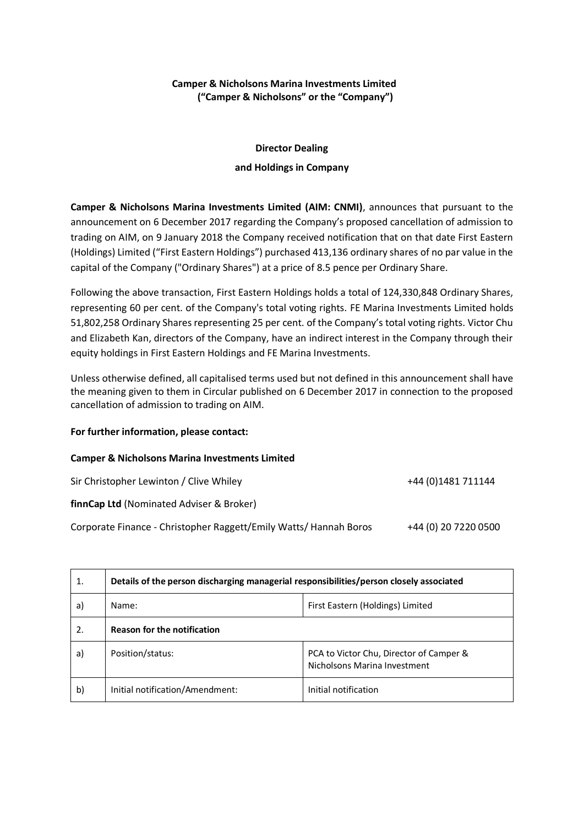## **Camper & Nicholsons Marina Investments Limited ("Camper & Nicholsons" or the "Company")**

## **Director Dealing and Holdings in Company**

**Camper & Nicholsons Marina Investments Limited (AIM: CNMI)**, announces that pursuant to the announcement on 6 December 2017 regarding the Company's proposed cancellation of admission to trading on AIM, on 9 January 2018 the Company received notification that on that date First Eastern (Holdings) Limited ("First Eastern Holdings") purchased 413,136 ordinary shares of no par value in the capital of the Company ("Ordinary Shares") at a price of 8.5 pence per Ordinary Share.

Following the above transaction, First Eastern Holdings holds a total of 124,330,848 Ordinary Shares, representing 60 per cent. of the Company's total voting rights. FE Marina Investments Limited holds 51,802,258 Ordinary Shares representing 25 per cent. of the Company's total voting rights. Victor Chu and Elizabeth Kan, directors of the Company, have an indirect interest in the Company through their equity holdings in First Eastern Holdings and FE Marina Investments.

Unless otherwise defined, all capitalised terms used but not defined in this announcement shall have the meaning given to them in Circular published on 6 December 2017 in connection to the proposed cancellation of admission to trading on AIM.

## **For further information, please contact:**

## **Camper & Nicholsons Marina Investments Limited**

Sir Christopher Lewinton / Clive Whiley +44 (0) 1481 711144 **finnCap Ltd** (Nominated Adviser & Broker) Corporate Finance - Christopher Raggett/Emily Watts/ Hannah Boros +44 (0) 20 7220 0500

| 1. | Details of the person discharging managerial responsibilities/person closely associated |                                                                         |  |
|----|-----------------------------------------------------------------------------------------|-------------------------------------------------------------------------|--|
| a) | Name:                                                                                   | First Eastern (Holdings) Limited                                        |  |
| 2. | <b>Reason for the notification</b>                                                      |                                                                         |  |
| a) | Position/status:                                                                        | PCA to Victor Chu, Director of Camper &<br>Nicholsons Marina Investment |  |
| b) | Initial notification/Amendment:                                                         | Initial notification                                                    |  |